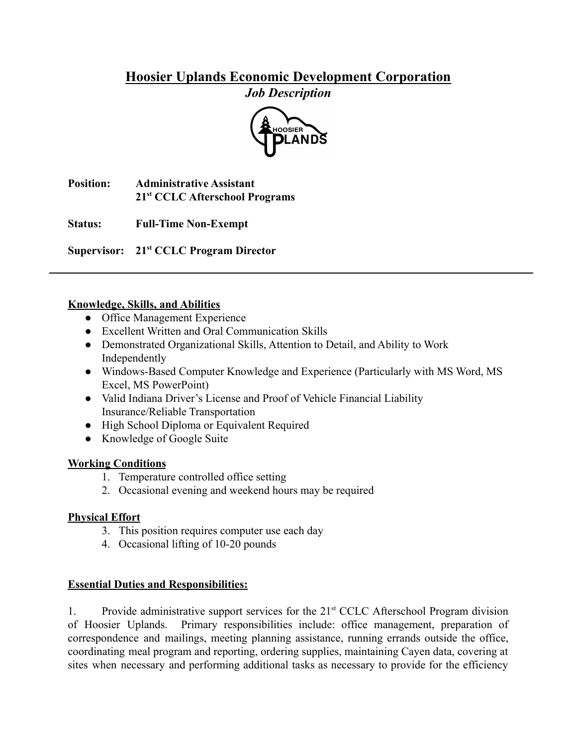# **Hoosier Uplands Economic Development Corporation** *Job Description*



**Position: Administrative Assistant 21st CCLC Afterschool Programs**

**Status: Full-Time Non-Exempt**

**Supervisor: 21st CCLC Program Director**

### **Knowledge, Skills, and Abilities**

- Office Management Experience
- Excellent Written and Oral Communication Skills
- Demonstrated Organizational Skills, Attention to Detail, and Ability to Work Independently
- Windows-Based Computer Knowledge and Experience (Particularly with MS Word, MS Excel, MS PowerPoint)
- Valid Indiana Driver's License and Proof of Vehicle Financial Liability Insurance/Reliable Transportation
- High School Diploma or Equivalent Required
- Knowledge of Google Suite

## **Working Conditions**

- 1. Temperature controlled office setting
- 2. Occasional evening and weekend hours may be required

## **Physical Effort**

- 3. This position requires computer use each day
- 4. Occasional lifting of 10-20 pounds

## **Essential Duties and Responsibilities:**

1. Provide administrative support services for the 21st CCLC Afterschool Program division of Hoosier Uplands. Primary responsibilities include: office management, preparation of correspondence and mailings, meeting planning assistance, running errands outside the office, coordinating meal program and reporting, ordering supplies, maintaining Cayen data, covering at sites when necessary and performing additional tasks as necessary to provide for the efficiency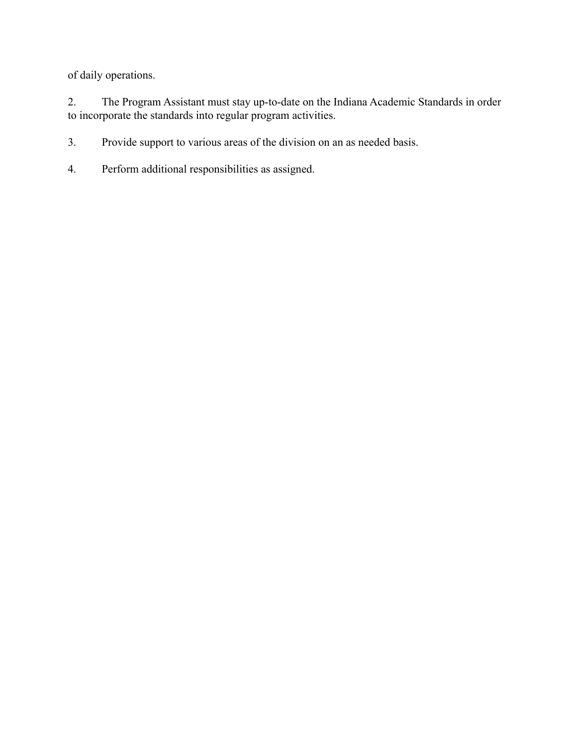of daily operations.

2. The Program Assistant must stay up-to-date on the Indiana Academic Standards in order to incorporate the standards into regular program activities.

3. Provide support to various areas of the division on an as needed basis.

4. Perform additional responsibilities as assigned.